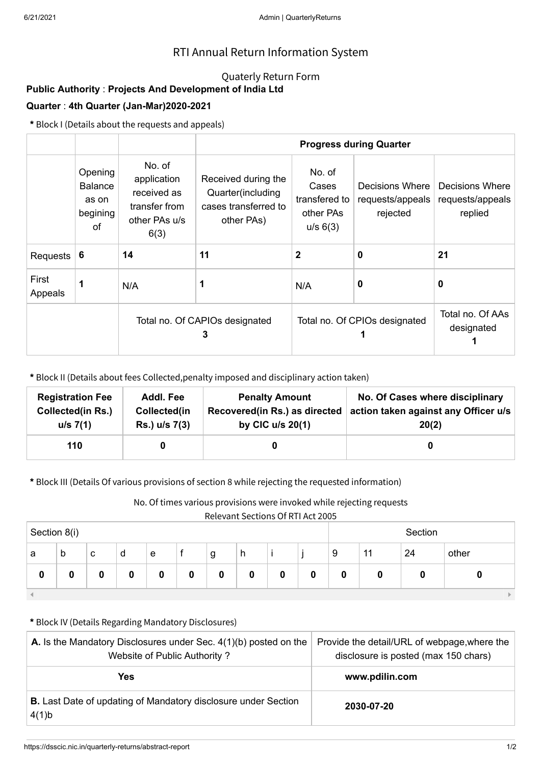## RTI Annual Return Information System

### Quaterly Return Form

# **Public Authority** : **Projects And Development of India Ltd**

### **Quarter** : **4th Quarter (Jan-Mar)2020-2021**

**\*** Block I (Details about the requests and appeals)

|                  |                                                      |                                                                                | <b>Progress during Quarter</b>                                                 |                                                           |                                                 |                                                |  |  |
|------------------|------------------------------------------------------|--------------------------------------------------------------------------------|--------------------------------------------------------------------------------|-----------------------------------------------------------|-------------------------------------------------|------------------------------------------------|--|--|
|                  | Opening<br><b>Balance</b><br>as on<br>begining<br>οf | No. of<br>application<br>received as<br>transfer from<br>other PAs u/s<br>6(3) | Received during the<br>Quarter(including<br>cases transferred to<br>other PAs) | No. of<br>Cases<br>transfered to<br>other PAs<br>u/s 6(3) | Decisions Where<br>requests/appeals<br>rejected | Decisions Where<br>requests/appeals<br>replied |  |  |
| Requests         | 6                                                    | 14                                                                             | 11                                                                             | 2                                                         | $\bf{0}$                                        | 21                                             |  |  |
| First<br>Appeals | 1                                                    | N/A                                                                            | 1                                                                              | N/A                                                       | 0                                               | $\mathbf 0$                                    |  |  |
|                  |                                                      | Total no. Of CAPIOs designated<br>3                                            |                                                                                | Total no. Of CPIOs designated                             | Total no. Of AAs<br>designated                  |                                                |  |  |

**\*** Block II (Details about fees Collected,penalty imposed and disciplinary action taken)

| <b>Registration Fee</b> | Addl. Fee     | <b>Penalty Amount</b>         | No. Of Cases where disciplinary      |
|-------------------------|---------------|-------------------------------|--------------------------------------|
| Collected(in Rs.)       | Collected(in  | Recovered(in Rs.) as directed | action taken against any Officer u/s |
| u/s 7(1)                | Rs.) u/s 7(3) | by CIC $u/s$ 20(1)            | 20(2)                                |
| 110                     |               |                               |                                      |

**\*** Block III (Details Of various provisions of section 8 while rejecting the requested information)

No. Of times various provisions were invoked while rejecting requests

Relevant Sections Of RTI Act 2005

| Section 8(i) |   |   |   |   | Section |   |   |   |   |          |    |    |       |
|--------------|---|---|---|---|---------|---|---|---|---|----------|----|----|-------|
| a            | b | с | d | e |         | g | h |   |   | 9        | 11 | 24 | other |
| u            |   | O | 0 | 0 | 0       | 0 | 0 | 0 | ν | $\bf{0}$ |    | 0  |       |
|              |   |   |   |   |         |   |   |   |   |          |    |    |       |

#### **\*** Block IV (Details Regarding Mandatory Disclosures)

| <b>A.</b> Is the Mandatory Disclosures under Sec. $4(1)(b)$ posted on the<br>Website of Public Authority? | Provide the detail/URL of webpage, where the<br>disclosure is posted (max 150 chars) |
|-----------------------------------------------------------------------------------------------------------|--------------------------------------------------------------------------------------|
| <b>Yes</b>                                                                                                | www.pdilin.com                                                                       |
| <b>B.</b> Last Date of updating of Mandatory disclosure under Section<br>4(1)b                            | 2030-07-20                                                                           |